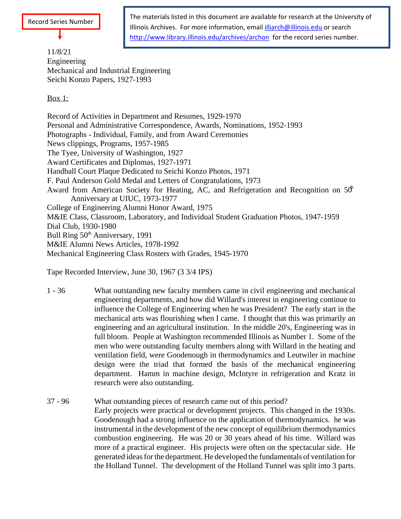

The materials listed in this document are available for research at the University of Illinois Archives. For more information, email *illiarch@illinois.edu* or search http://www.library.illinois.edu/archives/archon for the record series number.

11/8/21 Engineering Mechanical and Industrial Engineering Seichi Konzo Papers, 1927-1993

## **Box 1: Box 1: Box 1: Box 1: Box 1: Box 1: Box 1: Box 1: Box 1: Box 1: Box 1: Box 1: Box 1: Box 1: Box 1: Box 1: Box 1: Box 1: Box 1: Box 1: Box 1: Box 1: Box 1: Box 1: Box 1**

Record of Activities in Department and Resumes, 1929-1970 Personal and Administrative Correspondence, Awards, Nominations, 1952-1993 Photographs - Individual, Family, and from Award Ceremonies News clippings, Programs, 1957-1985 The Tyee, University of Washington, 1927 Award Certificates and Diplomas, 1927-1971 Handball Court Plaque Dedicated to Seichi Konzo Photos, 1971 F. Paul Anderson Gold Medal and Letters of Congratulations, 1973 Award from American Society for Heating, AC, and Refrigeration and Recognition on  $50<sup>h</sup>$ Anniversary at UIUC, 1973-1977 College of Engineering Alumni Honor Award, 1975 M&IE Class, Classroom, Laboratory, and Individual Student Graduation Photos, 1947-1959 Dial Club, 1930-1980 Bull Ring 50<sup>th</sup> Anniversary, 1991 M&IE Alumni News Articles, 1978-1992 Mechanical Engineering Class Rosters with Grades, 1945-1970

Tape Recorded Interview, June 30, 1967 (3 3/4 IPS)

- 1 36 What outstanding new faculty members came in civil engineering and mechanical engineering departments, and how did Willard's interest in engineering continue to influence the College of Engineering when he was President? The early start in the mechanical arts was flourishing when I came. I thought that this was primarily an engineering and an agricultural institution. In the middle 20's, Engineering was in full bloom. People at Washington recommended Illinois as Number 1. Some of the men who were outstanding faculty members along with Willard in the heating and ventilation field, were Goodenough in thermodynamics and Leutwiler in machine design were the triad that formed the basis of the mechanical engineering department. Hamm in machine design, McIntyre in refrigeration and Kratz in research were also outstanding.
- 37 96 What outstanding pieces of research came out of this period? Early projects were practical or development projects. This changed in the 1930s. Goodenough had a strong influence on the application of thermodynamics. he was instrumental in the development of the new concept of equilibrium thermodynamics combustion engineering. He was 20 or 30 years ahead of his time. Willard was more of a practical engineer. His projects were often on the spectacular side. He generated ideas for the department. He developed the fundamentals of ventilation for the Holland Tunnel. The development of the Holland Tunnel was split into 3 parts.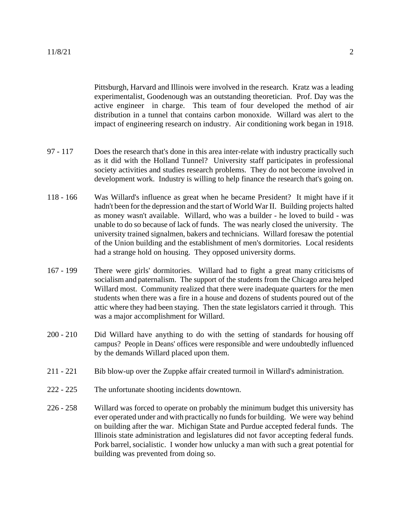Pittsburgh, Harvard and Illinois were involved in the research. Kratz was a leading experimentalist, Goodenough was an outstanding theoretician. Prof. Day was the active engineer in charge. This team of four developed the method of air distribution in a tunnel that contains carbon monoxide. Willard was alert to the impact of engineering research on industry. Air conditioning work began in 1918.

- 97 117 Does the research that's done in this area inter-relate with industry practically such as it did with the Holland Tunnel? University staff participates in professional society activities and studies research problems. They do not become involved in development work. Industry is willing to help finance the research that's going on.
- 118 166 Was Willard's influence as great when he became President? It might have if it hadn't been for the depression and the start of World War II. Building projects halted as money wasn't available. Willard, who was a builder - he loved to build - was unable to do so because of lack of funds. The was nearly closed the university. The university trained signalmen, bakers and technicians. Willard foresaw the potential of the Union building and the establishment of men's dormitories. Local residents had a strange hold on housing. They opposed university dorms.
- 167 199 There were girls' dormitories. Willard had to fight a great many criticismsof socialism and paternalism. The support of the students from the Chicago area helped Willard most. Community realized that there were inadequate quarters for the men students when there was a fire in a house and dozens of students poured out of the attic where they had been staying. Then the state legislators carried it through. This was a major accomplishment for Willard.
- 200 210 Did Willard have anything to do with the setting of standards for housing off campus? People in Deans' offices were responsible and were undoubtedly influenced by the demands Willard placed upon them.
- 211 221 Bib blow-up over the Zuppke affair created turmoil in Willard's administration.
- 222 225 The unfortunate shooting incidents downtown.
- 226 258 Willard was forced to operate on probably the minimum budget this university has ever operated under and with practically no funds for building. We were way behind on building after the war. Michigan State and Purdue accepted federal funds. The Illinois state administration and legislatures did not favor accepting federal funds. Pork barrel, socialistic. I wonder how unlucky a man with such a great potential for building was prevented from doing so.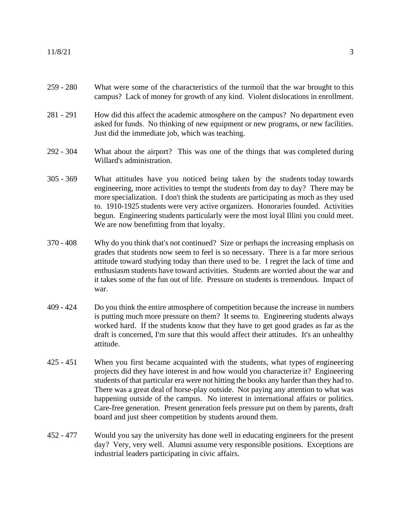- 259 280 What were some of the characteristics of the turmoil that the war brought to this campus? Lack of money for growth of any kind. Violent dislocations in enrollment.
- 281 291 How did this affect the academic atmosphere on the campus? No department even asked for funds. No thinking of new equipment or new programs, or new facilities. Just did the immediate job, which was teaching.
- 292 304 What about the airport? This was one of the things that was completed during Willard's administration.
- 305 369 What attitudes have you noticed being taken by the students today towards engineering, more activities to tempt the students from day to day? There may be more specialization. I don't think the students are participating as much as they used to. 1910-1925 students were very active organizers. Honoraries founded. Activities begun. Engineering students particularly were the most loyal Illini you could meet. We are now benefitting from that loyalty.
- 370 408 Why do you think that's not continued? Size or perhaps the increasing emphasis on grades that students now seem to feel is so necessary. There is a far more serious attitude toward studying today than there used to be. I regret the lack of time and enthusiasm students have toward activities. Students are worried about the war and it takes some of the fun out of life. Pressure on students is tremendous. Impact of war.
- 409 424 Do you think the entire atmosphere of competition because the increase in numbers is putting much more pressure on them? It seems to. Engineering students always worked hard. If the students know that they have to get good grades as far as the draft is concerned, I'm sure that this would affect their attitudes. It's an unhealthy attitude.
- 425 451 When you first became acquainted with the students, what types of engineering projects did they have interest in and how would you characterize it? Engineering students of that particular era were not hitting the books any harder than they had to. There was a great deal of horse-play outside. Not paying any attention to what was happening outside of the campus. No interest in international affairs or politics. Care-free generation. Present generation feels pressure put on them by parents, draft board and just sheer competition by students around them.
- 452 477 Would you say the university has done well in educating engineers for the present day? Very, very well. Alumni assume very responsible positions. Exceptions are industrial leaders participating in civic affairs.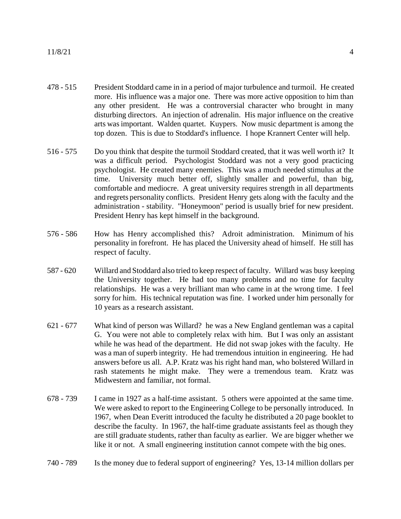11/8/21 4

- 478 515 President Stoddard came in in a period of major turbulence and turmoil. He created more. His influence was a major one. There was more active opposition to him than any other president. He was a controversial character who brought in many disturbing directors. An injection of adrenalin. His major influence on the creative arts wasimportant. Walden quartet. Kuypers. Now music department is among the top dozen. This is due to Stoddard's influence. I hope Krannert Center will help.
- 516 575 Do you think that despite the turmoil Stoddard created, that it was well worth it? It was a difficult period. Psychologist Stoddard was not a very good practicing psychologist. He created many enemies. This was a much needed stimulus at the time. University much better off, slightly smaller and powerful, than big, comfortable and mediocre. A great university requires strength in all departments and regrets personality conflicts. President Henry gets along with the faculty and the administration - stability. "Honeymoon" period is usually brief for new president. President Henry has kept himself in the background.
- 576 586 How has Henry accomplished this? Adroit administration. Minimum of his personality in forefront. He has placed the University ahead of himself. He still has respect of faculty.
- 587 620 Willard and Stoddard also tried to keep respect of faculty. Willard was busy keeping the University together. He had too many problems and no time for faculty relationships. He was a very brilliant man who came in at the wrong time. I feel sorry for him. His technical reputation was fine. I worked under him personally for 10 years as a research assistant.
- 621 677 What kind of person was Willard? he was a New England gentleman was a capital G. You were not able to completely relax with him. But I was only an assistant while he was head of the department. He did not swap jokes with the faculty. He was a man of superb integrity. He had tremendous intuition in engineering. He had answers before us all. A.P. Kratz was his right hand man, who bolstered Willard in rash statements he might make. They were a tremendous team. Kratz was Midwestern and familiar, not formal.
- 678 739 I came in 1927 as a half-time assistant. 5 others were appointed at the same time. We were asked to report to the Engineering College to be personally introduced. In 1967, when Dean Everitt introduced the faculty he distributed a 20 page booklet to describe the faculty. In 1967, the half-time graduate assistants feel as though they are still graduate students, rather than faculty as earlier. We are bigger whether we like it or not. A small engineering institution cannot compete with the big ones.
- 740 789 Is the money due to federal support of engineering? Yes, 13-14 million dollars per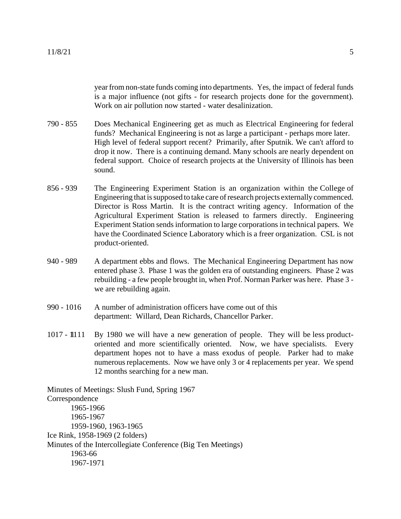year from non-state funds coming into departments. Yes, the impact of federal funds is a major influence (not gifts - for research projects done for the government). Work on air pollution now started - water desalinization.

- 790 855 Does Mechanical Engineering get as much as Electrical Engineering for federal funds? Mechanical Engineering is not as large a participant - perhaps more later. High level of federal support recent? Primarily, after Sputnik. We can't afford to drop it now. There is a continuing demand. Many schools are nearly dependent on federal support. Choice of research projects at the University of Illinois has been sound.
- 856 939 The Engineering Experiment Station is an organization within the College of Engineering that issupposed to take care ofresearch projects externally commenced. Director is Ross Martin. It is the contract writing agency. Information of the Agricultural Experiment Station is released to farmers directly. Engineering Experiment Station sendsinformation to large corporations in technical papers. We have the Coordinated Science Laboratory which is a freer organization. CSL is not product-oriented.
- 940 989 A department ebbs and flows. The Mechanical Engineering Department has now entered phase 3. Phase 1 was the golden era of outstanding engineers. Phase 2 was rebuilding - a few people brought in, when Prof. Norman Parker was here. Phase 3 we are rebuilding again.
- 990 1016 A number of administration officers have come out of this department: Willard, Dean Richards, Chancellor Parker.
- 1017 1111 By 1980 we will have a new generation of people. They will be less productoriented and more scientifically oriented. Now, we have specialists. Every department hopes not to have a mass exodus of people. Parker had to make numerous replacements. Now we have only 3 or 4 replacements per year. We spend 12 months searching for a new man.

Minutes of Meetings: Slush Fund, Spring 1967 Correspondence 1965-1966 1965-1967 1959-1960, 1963-1965 Ice Rink, 1958-1969 (2 folders) Minutes of the Intercollegiate Conference (Big Ten Meetings) 1963-66 1967-1971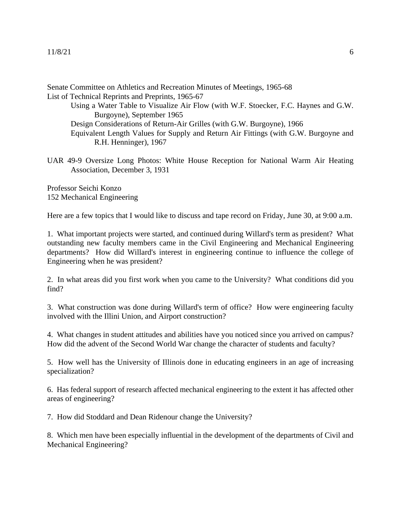## 11/8/21 6

Senate Committee on Athletics and Recreation Minutes of Meetings, 1965-68 List of Technical Reprints and Preprints, 1965-67

Using a Water Table to Visualize Air Flow (with W.F. Stoecker, F.C. Haynes and G.W. Burgoyne), September 1965 Design Considerations of Return-Air Grilles (with G.W. Burgoyne), 1966 Equivalent Length Values for Supply and Return Air Fittings (with G.W. Burgoyne and R.H. Henninger), 1967

UAR 49-9 Oversize Long Photos: White House Reception for National Warm Air Heating Association, December 3, 1931

Professor Seichi Konzo 152 Mechanical Engineering

Here are a few topics that I would like to discuss and tape record on Friday, June 30, at 9:00 a.m.

1. What important projects were started, and continued during Willard's term as president? What outstanding new faculty members came in the Civil Engineering and Mechanical Engineering departments? How did Willard's interest in engineering continue to influence the college of Engineering when he was president?

2. In what areas did you first work when you came to the University? What conditions did you find?

3. What construction was done during Willard's term of office? How were engineering faculty involved with the Illini Union, and Airport construction?

4. What changes in student attitudes and abilities have you noticed since you arrived on campus? How did the advent of the Second World War change the character of students and faculty?

5. How well has the University of Illinois done in educating engineers in an age of increasing specialization?

6. Has federal support of research affected mechanical engineering to the extent it has affected other areas of engineering?

7. How did Stoddard and Dean Ridenour change the University?

8. Which men have been especially influential in the development of the departments of Civil and Mechanical Engineering?